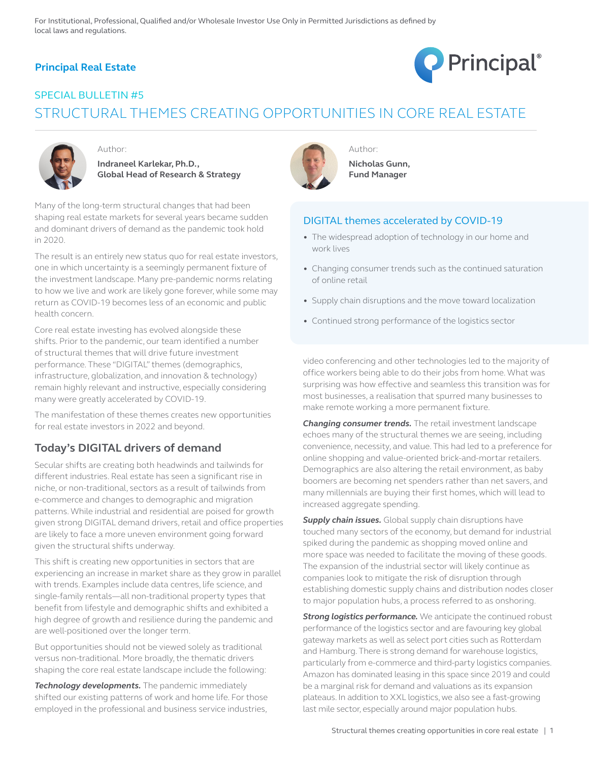### **Principal Real Estate**



# SPECIAL BULLETIN #5 STRUCTURAL THEMES CREATING OPPORTUNITIES IN CORE REAL ESTATE



Author:

**Indraneel Karlekar, Ph.D., Global Head of Research & Strategy** 

Many of the long-term structural changes that had been shaping real estate markets for several years became sudden and dominant drivers of demand as the pandemic took hold in 2020.

The result is an entirely new status quo for real estate investors, one in which uncertainty is a seemingly permanent fixture of the investment landscape. Many pre-pandemic norms relating to how we live and work are likely gone forever, while some may return as COVID-19 becomes less of an economic and public health concern.

Core real estate investing has evolved alongside these shifts. Prior to the pandemic, our team identified a number of structural themes that will drive future investment performance. These "DIGITAL" themes (demographics, infrastructure, globalization, and innovation & technology) remain highly relevant and instructive, especially considering many were greatly accelerated by COVID-19.

The manifestation of these themes creates new opportunities for real estate investors in 2022 and beyond.

### **Today's DIGITAL drivers of demand**

Secular shifts are creating both headwinds and tailwinds for different industries. Real estate has seen a significant rise in niche, or non-traditional, sectors as a result of tailwinds from e-commerce and changes to demographic and migration patterns. While industrial and residential are poised for growth given strong DIGITAL demand drivers, retail and office properties are likely to face a more uneven environment going forward given the structural shifts underway.

This shift is creating new opportunities in sectors that are experiencing an increase in market share as they grow in parallel with trends. Examples include data centres, life science, and single-family rentals—all non-traditional property types that benefit from lifestyle and demographic shifts and exhibited a high degree of growth and resilience during the pandemic and are well-positioned over the longer term.

But opportunities should not be viewed solely as traditional versus non-traditional. More broadly, the thematic drivers shaping the core real estate landscape include the following:

*Technology developments.* The pandemic immediately shifted our existing patterns of work and home life. For those employed in the professional and business service industries,



**Nicholas Gunn, Fund Manager** 

Author:

#### DIGITAL themes accelerated by COVID-19

- The widespread adoption of technology in our home and work lives
- Changing consumer trends such as the continued saturation of online retail
- Supply chain disruptions and the move toward localization
- Continued strong performance of the logistics sector

video conferencing and other technologies led to the majority of office workers being able to do their jobs from home. What was surprising was how effective and seamless this transition was for most businesses, a realisation that spurred many businesses to make remote working a more permanent fixture.

*Changing consumer trends.* The retail investment landscape echoes many of the structural themes we are seeing, including convenience, necessity, and value. This had led to a preference for online shopping and value-oriented brick-and-mortar retailers. Demographics are also altering the retail environment, as baby boomers are becoming net spenders rather than net savers, and many millennials are buying their first homes, which will lead to increased aggregate spending.

*Supply chain issues.* Global supply chain disruptions have touched many sectors of the economy, but demand for industrial spiked during the pandemic as shopping moved online and more space was needed to facilitate the moving of these goods. The expansion of the industrial sector will likely continue as companies look to mitigate the risk of disruption through establishing domestic supply chains and distribution nodes closer to major population hubs, a process referred to as onshoring.

**Strong logistics performance.** We anticipate the continued robust performance of the logistics sector and are favouring key global gateway markets as well as select port cities such as Rotterdam and Hamburg. There is strong demand for warehouse logistics, particularly from e-commerce and third-party logistics companies. Amazon has dominated leasing in this space since 2019 and could be a marginal risk for demand and valuations as its expansion plateaus. In addition to XXL logistics, we also see a fast-growing last mile sector, especially around major population hubs.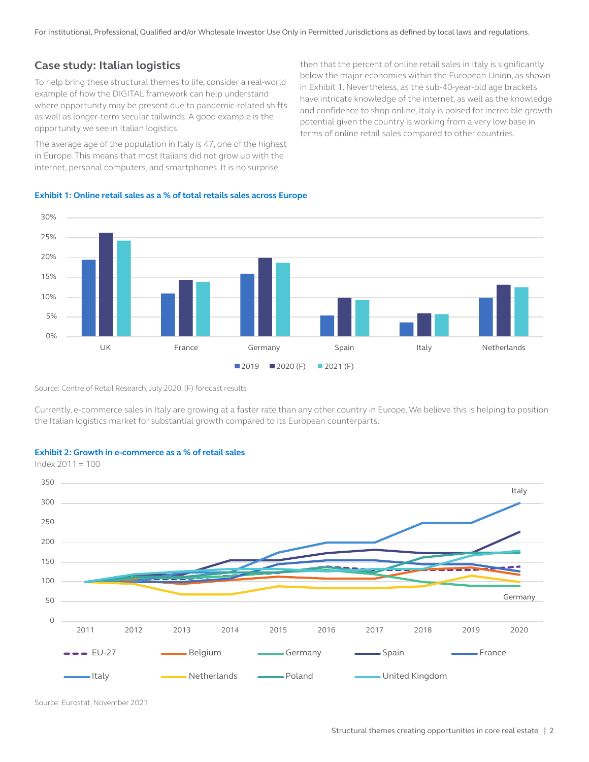For Institutional, Professional, Qualified and/or Wholesale Investor Use Only in Permitted Jurisdictions as defined by local laws and regulations.

### **Case study: Italian logistics**

To help bring these structural themes to life, consider a real-world example of how the DIGITAL framework can help understand where opportunity may be present due to pandemic-related shifts as well as longer-term secular tailwinds. A good example is the opportunity we see in Italian logistics.

The average age of the population in Italy is 47, one of the highest in Europe. This means that most Italians did not grow up with the internet, personal computers, and smartphones. It is no surprise

then that the percent of online retail sales in Italy is significantly below the major economies within the European Union, as shown in Exhibit 1. Nevertheless, as the sub-40-year-old age brackets have intricate knowledge of the internet, as well as the knowledge and confidence to shop online, Italy is poised for incredible growth potential given the country is working from a very low base in terms of online retail sales compared to other countries.





Source: Centre of Retail Research, July 2020. (F) forecast results

Currently, e-commerce sales in Italy are growing at a faster rate than any other country in Europe. We believe this is helping to position the Italian logistics market for substantial growth compared to its European counterparts.



#### **Exhibit 2: Growth in e-commerce as a % of retail sales**

Source: Eurostat, November 2021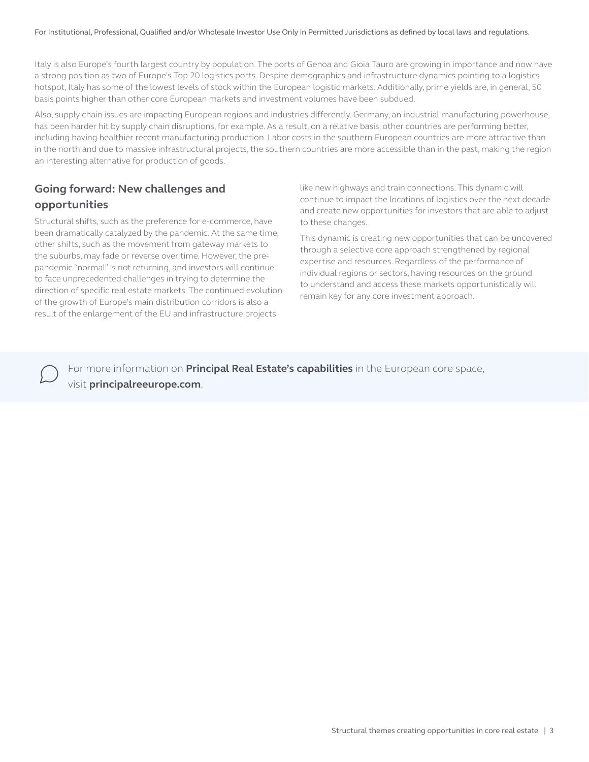Italy is also Europe's fourth largest country by population. The ports of Genoa and Gioia Tauro are growing in importance and now have a strong position as two of Europe's Top 20 logistics ports. Despite demographics and infrastructure dynamics pointing to a logistics hotspot, Italy has some of the lowest levels of stock within the European logistic markets. Additionally, prime yields are, in general, 50 basis points higher than other core European markets and investment volumes have been subdued.

Also, supply chain issues are impacting European regions and industries differently. Germany, an industrial manufacturing powerhouse, has been harder hit by supply chain disruptions, for example. As a result, on a relative basis, other countries are performing better, including having healthier recent manufacturing production. Labor costs in the southern European countries are more attractive than in the north and due to massive infrastructural projects, the southern countries are more accessible than in the past, making the region an interesting alternative for production of goods.

## **Going forward: New challenges and opportunities**

Structural shifts, such as the preference for e-commerce, have been dramatically catalyzed by the pandemic. At the same time, other shifts, such as the movement from gateway markets to the suburbs, may fade or reverse over time. However, the prepandemic "normal" is not returning, and investors will continue to face unprecedented challenges in trying to determine the direction of specific real estate markets. The continued evolution of the growth of Europe's main distribution corridors is also a result of the enlargement of the EU and infrastructure projects

like new highways and train connections. This dynamic will continue to impact the locations of logistics over the next decade and create new opportunities for investors that are able to adjust to these changes.

This dynamic is creating new opportunities that can be uncovered through a selective core approach strengthened by regional expertise and resources. Regardless of the performance of individual regions or sectors, having resources on the ground to understand and access these markets opportunistically will remain key for any core investment approach.

For more information on **Principal Real Estate's capabilities** in the European core space, visit **principalreeurope.com**.